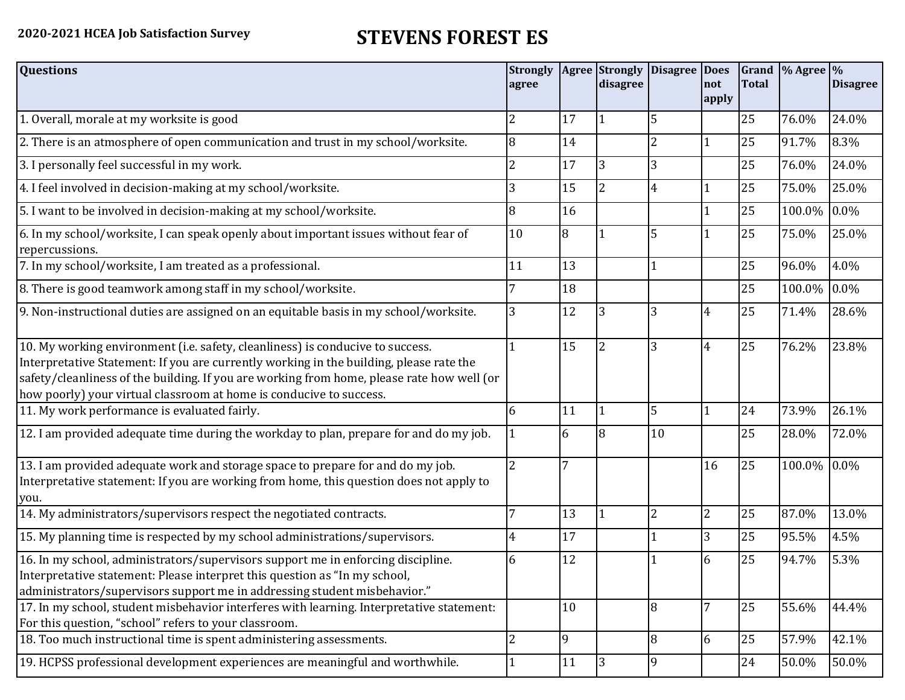## **2020-2021 HCEA Job Satisfaction Survey STEVENS FOREST ES**

| <b>Questions</b>                                                                                                                                                                                                                                                                                                                               | agree          |    | Strongly   Agree   Strongly<br>disagree | <b>Disagree Does</b> | not<br>apply    | <b>Total</b> | Grand $\frac{9}{6}$ Agree $\frac{9}{6}$ | <b>Disagree</b> |
|------------------------------------------------------------------------------------------------------------------------------------------------------------------------------------------------------------------------------------------------------------------------------------------------------------------------------------------------|----------------|----|-----------------------------------------|----------------------|-----------------|--------------|-----------------------------------------|-----------------|
| 1. Overall, morale at my worksite is good                                                                                                                                                                                                                                                                                                      | 2              | 17 |                                         | 5                    |                 | 25           | 76.0%                                   | 24.0%           |
| 2. There is an atmosphere of open communication and trust in my school/worksite.                                                                                                                                                                                                                                                               | 8              | 14 |                                         | $\overline{2}$       | $\mathbf{1}$    | 25           | 91.7%                                   | 8.3%            |
| 3. I personally feel successful in my work.                                                                                                                                                                                                                                                                                                    | 2              | 17 | 3                                       | 3                    |                 | 25           | 76.0%                                   | 24.0%           |
| 4. I feel involved in decision-making at my school/worksite.                                                                                                                                                                                                                                                                                   | 3              | 15 | $\overline{\mathcal{L}}$                | $\overline{4}$       | 1               | 25           | 75.0%                                   | 25.0%           |
| 5. I want to be involved in decision-making at my school/worksite.                                                                                                                                                                                                                                                                             | 8              | 16 |                                         |                      |                 | 25           | 100.0%                                  | 0.0%            |
| 6. In my school/worksite, I can speak openly about important issues without fear of<br>repercussions.                                                                                                                                                                                                                                          | 10             | 8  |                                         | 5                    |                 | 25           | 75.0%                                   | 25.0%           |
| 7. In my school/worksite, I am treated as a professional.                                                                                                                                                                                                                                                                                      | 11             | 13 |                                         | $\mathbf{1}$         |                 | 25           | 96.0%                                   | 4.0%            |
| 8. There is good teamwork among staff in my school/worksite.                                                                                                                                                                                                                                                                                   |                | 18 |                                         |                      |                 | 25           | 100.0%                                  | 0.0%            |
| 9. Non-instructional duties are assigned on an equitable basis in my school/worksite.                                                                                                                                                                                                                                                          | 3              | 12 | 13                                      | 3                    | 4               | 25           | 71.4%                                   | 28.6%           |
| 10. My working environment (i.e. safety, cleanliness) is conducive to success.<br>Interpretative Statement: If you are currently working in the building, please rate the<br>safety/cleanliness of the building. If you are working from home, please rate how well (or<br>how poorly) your virtual classroom at home is conducive to success. |                | 15 |                                         | 3                    | $\overline{4}$  | 25           | 76.2%                                   | 23.8%           |
| 11. My work performance is evaluated fairly.                                                                                                                                                                                                                                                                                                   | 6              | 11 |                                         | 5                    | $\mathbf{1}$    | 24           | 73.9%                                   | 26.1%           |
| 12. I am provided adequate time during the workday to plan, prepare for and do my job.                                                                                                                                                                                                                                                         |                | 6  |                                         | 10                   |                 | 25           | 28.0%                                   | 72.0%           |
| 13. I am provided adequate work and storage space to prepare for and do my job.<br>Interpretative statement: If you are working from home, this question does not apply to<br>you.                                                                                                                                                             | $\overline{2}$ | 7  |                                         |                      | 16              | 25           | 100.0% 0.0%                             |                 |
| 14. My administrators/supervisors respect the negotiated contracts.                                                                                                                                                                                                                                                                            | 7              | 13 |                                         | $\overline{2}$       | $\overline{2}$  | 25           | 87.0%                                   | 13.0%           |
| 15. My planning time is respected by my school administrations/supervisors.                                                                                                                                                                                                                                                                    | 4              | 17 |                                         |                      | 3               | 25           | 95.5%                                   | 4.5%            |
| 16. In my school, administrators/supervisors support me in enforcing discipline.<br>Interpretative statement: Please interpret this question as "In my school,<br>administrators/supervisors support me in addressing student misbehavior."                                                                                                    | 6              | 12 |                                         |                      | 6               | 25           | 94.7%                                   | 5.3%            |
| 17. In my school, student misbehavior interferes with learning. Interpretative statement:<br>For this question, "school" refers to your classroom.                                                                                                                                                                                             |                | 10 |                                         | 8                    | $7\overline{ }$ | 25           | 55.6%                                   | 44.4%           |
| 18. Too much instructional time is spent administering assessments.                                                                                                                                                                                                                                                                            | $\overline{2}$ | 19 |                                         | 8                    | 6               | 25           | 57.9%                                   | 42.1%           |
| 19. HCPSS professional development experiences are meaningful and worthwhile.                                                                                                                                                                                                                                                                  |                | 11 | 3                                       | 9                    |                 | 24           | 50.0%                                   | 50.0%           |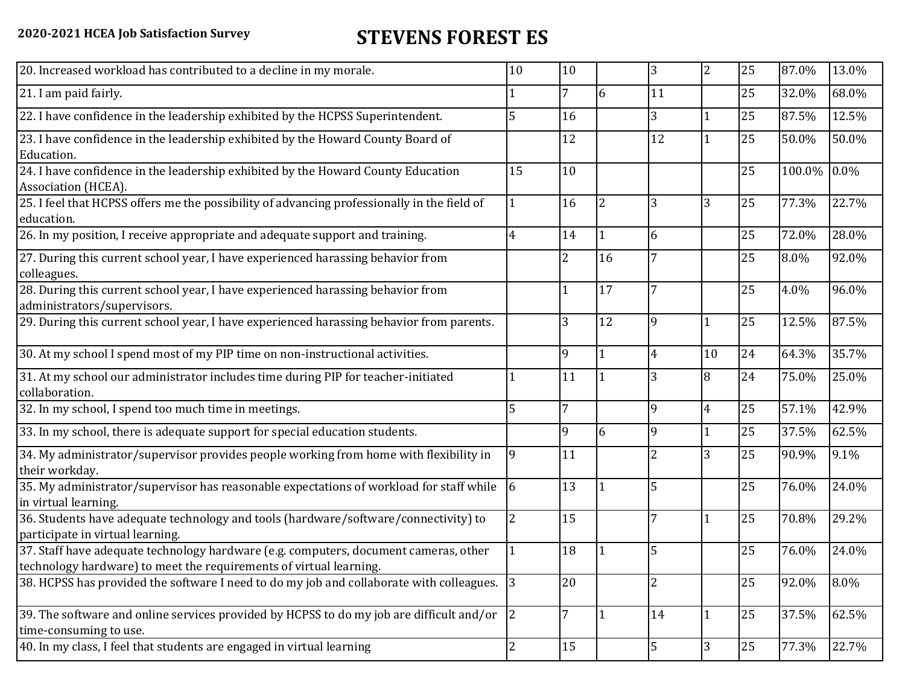## **2020-2021 HCEA Job Satisfaction Survey STEVENS FOREST ES**

| 20. Increased workload has contributed to a decline in my morale.                                                                                          | 10 | 10             |    | 3              | $\overline{2}$ | 25 | 87.0%  | 13.0%   |
|------------------------------------------------------------------------------------------------------------------------------------------------------------|----|----------------|----|----------------|----------------|----|--------|---------|
| 21. I am paid fairly.                                                                                                                                      |    | $\overline{7}$ | 6  | 11             |                | 25 | 32.0%  | 68.0%   |
| 22. I have confidence in the leadership exhibited by the HCPSS Superintendent.                                                                             | 5  | 16             |    | 3              | $\overline{1}$ | 25 | 87.5%  | 12.5%   |
| 23. I have confidence in the leadership exhibited by the Howard County Board of<br>Education.                                                              |    | 12             |    | 12             | $\overline{1}$ | 25 | 50.0%  | 50.0%   |
| 24. I have confidence in the leadership exhibited by the Howard County Education<br>Association (HCEA).                                                    | 15 | 10             |    |                |                | 25 | 100.0% | $0.0\%$ |
| 25. I feel that HCPSS offers me the possibility of advancing professionally in the field of<br>education.                                                  |    | 16             |    | 3              | 3              | 25 | 77.3%  | 22.7%   |
| 26. In my position, I receive appropriate and adequate support and training.                                                                               | 4  | 14             |    | 6              |                | 25 | 72.0%  | 28.0%   |
| 27. During this current school year, I have experienced harassing behavior from<br>colleagues.                                                             |    | $\overline{2}$ | 16 | $\overline{7}$ |                | 25 | 8.0%   | 92.0%   |
| 28. During this current school year, I have experienced harassing behavior from<br>administrators/supervisors.                                             |    | $\vert$ 1      | 17 | 7              |                | 25 | 4.0%   | 96.0%   |
| 29. During this current school year, I have experienced harassing behavior from parents.                                                                   |    | 3              | 12 | 9              | 1              | 25 | 12.5%  | 87.5%   |
| 30. At my school I spend most of my PIP time on non-instructional activities.                                                                              |    | 9              |    | $\overline{4}$ | 10             | 24 | 64.3%  | 35.7%   |
| 31. At my school our administrator includes time during PIP for teacher-initiated<br>collaboration.                                                        |    | <sup>11</sup>  |    | 3              | 8              | 24 | 75.0%  | 25.0%   |
| 32. In my school, I spend too much time in meetings.                                                                                                       | 5  | $\overline{7}$ |    | 9              | $\overline{4}$ | 25 | 57.1%  | 42.9%   |
| 33. In my school, there is adequate support for special education students.                                                                                |    | 9              | 6  | 9              | $\overline{1}$ | 25 | 37.5%  | 62.5%   |
| 34. My administrator/supervisor provides people working from home with flexibility in<br>their workday.                                                    | 9  | 11             |    | $\overline{2}$ | 3              | 25 | 90.9%  | 9.1%    |
| 35. My administrator/supervisor has reasonable expectations of workload for staff while<br>in virtual learning.                                            | 6  | 13             |    | 5              |                | 25 | 76.0%  | 24.0%   |
| 36. Students have adequate technology and tools (hardware/software/connectivity) to<br>participate in virtual learning.                                    | 2  | 15             |    | $\overline{7}$ |                | 25 | 70.8%  | 29.2%   |
| 37. Staff have adequate technology hardware (e.g. computers, document cameras, other<br>technology hardware) to meet the requirements of virtual learning. |    | 18             |    |                |                | 25 | 76.0%  | 24.0%   |
| 38. HCPSS has provided the software I need to do my job and collaborate with colleagues. 3                                                                 |    | 20             |    | $\overline{2}$ |                | 25 | 92.0%  | 8.0%    |
| 39. The software and online services provided by HCPSS to do my job are difficult and/or<br>time-consuming to use.                                         | 2  | $\overline{7}$ |    | 14             | 1              | 25 | 37.5%  | 62.5%   |
| 40. In my class, I feel that students are engaged in virtual learning                                                                                      | 2  | 15             |    | 5              | 3              | 25 | 77.3%  | 22.7%   |